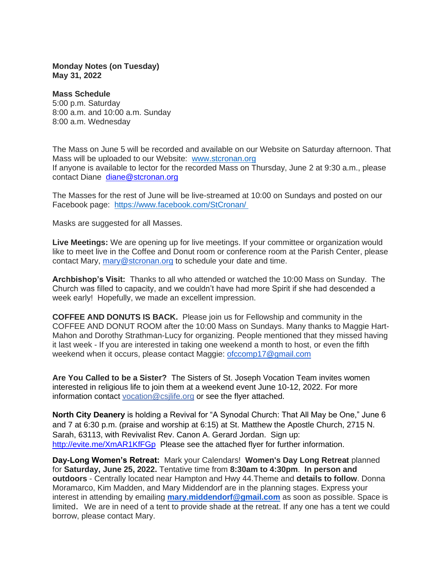**Monday Notes (on Tuesday) May 31, 2022**

**Mass Schedule** 5:00 p.m. Saturday 8:00 a.m. and 10:00 a.m. Sunday 8:00 a.m. Wednesday

The Mass on June 5 will be recorded and available on our Website on Saturday afternoon. That Mass will be uploaded to our Website: [www.stcronan.org](http://www.stcronan.org/) If anyone is available to lector for the recorded Mass on Thursday, June 2 at 9:30 a.m., please contact Diane [diane@stcronan.org](mailto:diane@stcronan.org)

The Masses for the rest of June will be live-streamed at 10:00 on Sundays and posted on our Facebook page: <https://www.facebook.com/StCronan/>

Masks are suggested for all Masses.

**Live Meetings:** We are opening up for live meetings. If your committee or organization would like to meet live in the Coffee and Donut room or conference room at the Parish Center, please contact Mary, [mary@stcronan.org](mailto:mary@stcronan.org) to schedule your date and time.

**Archbishop's Visit:** Thanks to all who attended or watched the 10:00 Mass on Sunday. The Church was filled to capacity, and we couldn't have had more Spirit if she had descended a week early! Hopefully, we made an excellent impression.

**COFFEE AND DONUTS IS BACK.** Please join us for Fellowship and community in the COFFEE AND DONUT ROOM after the 10:00 Mass on Sundays. Many thanks to Maggie Hart-Mahon and Dorothy Strathman-Lucy for organizing. People mentioned that they missed having it last week - If you are interested in taking one weekend a month to host, or even the fifth weekend when it occurs, please contact Maggie: [ofccomp17@gmail.com](mailto:ofccomp17@gmail.com) 

**Are You Called to be a Sister?** The Sisters of St. Joseph Vocation Team invites women interested in religious life to join them at a weekend event June 10-12, 2022. For more information contact [vocation@csjlife.org](mailto:vocation@csjlife.org) or see the flyer attached.

**North City Deanery** is holding a Revival for "A Synodal Church: That All May be One," June 6 and 7 at 6:30 p.m. (praise and worship at 6:15) at St. Matthew the Apostle Church, 2715 N. Sarah, 63113, with Revivalist Rev. Canon A. Gerard Jordan. Sign up: <http://evite.me/XmAR1KfFGp>Please see the attached flyer for further information.

**Day-Long Women's Retreat:** Mark your Calendars! **Women's Day Long Retreat** planned for **Saturday, June 25, 2022.** Tentative time from **8:30am to 4:30pm**. **In person and outdoors** - Centrally located near Hampton and Hwy 44.Theme and **details to follow**. Donna Moramarco, Kim Madden, and Mary Middendorf are in the planning stages. Express your interest in attending by emailing **[mary.middendorf@gmail.com](mailto:mary.middendorf@gmail.com)** as soon as possible. Space is limited. We are in need of a tent to provide shade at the retreat. If any one has a tent we could borrow, please contact Mary.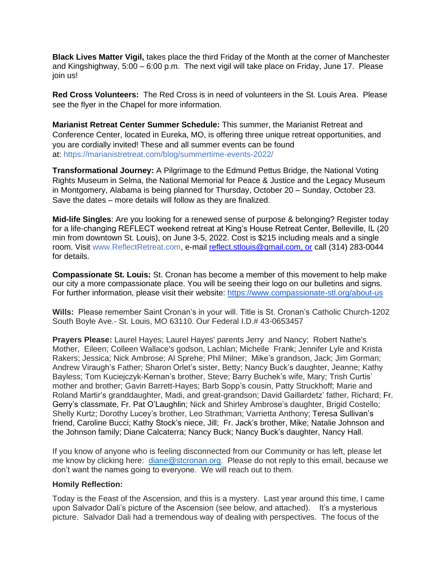**Black Lives Matter Vigil,** takes place the third Friday of the Month at the corner of Manchester and Kingshighway, 5:00 – 6:00 p.m. The next vigil will take place on Friday, June 17. Please join us!

**Red Cross Volunteers:** The Red Cross is in need of volunteers in the St. Louis Area. Please see the flyer in the Chapel for more information.

**Marianist Retreat Center Summer Schedule:** This summer, the Marianist Retreat and Conference Center, located in Eureka, MO, is offering three unique retreat opportunities, and you are cordially invited! These and all summer events can be found at: <https://marianistretreat.com/blog/summertime-events-2022/>

**Transformational Journey:** A Pilgrimage to the Edmund Pettus Bridge, the National Voting Rights Museum in Selma, the National Memorial for Peace & Justice and the Legacy Museum in Montgomery, Alabama is being planned for Thursday, October 20 – Sunday, October 23. Save the dates – more details will follow as they are finalized.

**Mid-life Singles**: Are you looking for a renewed sense of purpose & belonging? Register today for a life-changing REFLECT weekend retreat at King's House Retreat Center, Belleville, IL (20 min from downtown St. Louis), on June 3-5, 2022. Cost is \$215 including meals and a single room. Visit [www.ReflectRetreat.com,](http://www.reflectretreat.com/) e-mail [reflect.stlouis@gmail.com, or](mailto:reflect.stlouis@gmail.com) call (314) 283-0044 for details.

**Compassionate St. Louis:** St. Cronan has become a member of this movement to help make our city a more compassionate place. You will be seeing their logo on our bulletins and signs. For further information, please visit their website: <https://www.compassionate-stl.org/about-us>

**Wills:** Please remember Saint Cronan's in your will. Title is St. Cronan's Catholic Church-1202 South Boyle Ave.- St. Louis, MO 63110. Our Federal I.D.# 43-0653457

**Prayers Please:** Laurel Hayes; Laurel Hayes' parents Jerry and Nancy; Robert Nathe's Mother, Eileen; Colleen Wallace's godson, Lachlan; Michelle Frank; Jennifer Lyle and Krista Rakers; Jessica; Nick Ambrose; Al Sprehe; Phil Milner; Mike's grandson, Jack; Jim Gorman; Andrew Viraugh's Father; Sharon Orlet's sister, Betty; Nancy Buck's daughter, Jeanne; Kathy Bayless; Tom Kuciejczyk-Kernan's brother, Steve; Barry Buchek's wife, Mary; Trish Curtis' mother and brother; Gavin Barrett-Hayes; Barb Sopp's cousin, Patty Struckhoff; Marie and Roland Martir's granddaughter, Madi, and great-grandson; David Gaillardetz' father, Richard; Fr. Gerry's classmate, Fr. Pat O'Laughlin; Nick and Shirley Ambrose's daughter, Brigid Costello; Shelly Kurtz; Dorothy Lucey's brother, Leo Strathman; Varrietta Anthony; Teresa Sullivan's friend, Caroline Bucci; Kathy Stock's niece, Jill; Fr. Jack's brother, Mike; Natalie Johnson and the Johnson family; Diane Calcaterra; Nancy Buck; Nancy Buck's daughter, Nancy Hall.

If you know of anyone who is feeling disconnected from our Community or has left, please let me know by clicking here: [diane@stcronan.org.](mailto:diane@stcronan.org) Please do not reply to this email, because we don't want the names going to everyone. We will reach out to them.

## **Homily Reflection:**

Today is the Feast of the Ascension, and this is a mystery. Last year around this time, I came upon Salvador Dali's picture of the Ascension (see below, and attached). It's a mysterious picture. Salvador Dali had a tremendous way of dealing with perspectives. The focus of the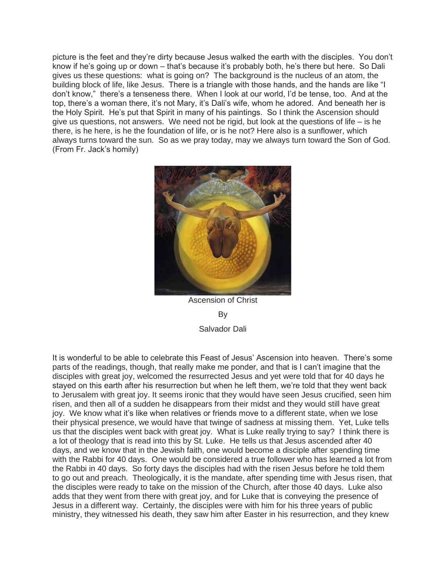picture is the feet and they're dirty because Jesus walked the earth with the disciples. You don't know if he's going up or down – that's because it's probably both, he's there but here. So Dali gives us these questions: what is going on? The background is the nucleus of an atom, the building block of life, like Jesus. There is a triangle with those hands, and the hands are like "I don't know," there's a tenseness there. When I look at our world, I'd be tense, too. And at the top, there's a woman there, it's not Mary, it's Dali's wife, whom he adored. And beneath her is the Holy Spirit. He's put that Spirit in many of his paintings. So I think the Ascension should give us questions, not answers. We need not be rigid, but look at the questions of life  $-$  is he there, is he here, is he the foundation of life, or is he not? Here also is a sunflower, which always turns toward the sun. So as we pray today, may we always turn toward the Son of God. (From Fr. Jack's homily)



Ascension of Christ By Salvador Dali

It is wonderful to be able to celebrate this Feast of Jesus' Ascension into heaven. There's some parts of the readings, though, that really make me ponder, and that is I can't imagine that the disciples with great joy, welcomed the resurrected Jesus and yet were told that for 40 days he stayed on this earth after his resurrection but when he left them, we're told that they went back to Jerusalem with great joy. It seems ironic that they would have seen Jesus crucified, seen him risen, and then all of a sudden he disappears from their midst and they would still have great joy. We know what it's like when relatives or friends move to a different state, when we lose their physical presence, we would have that twinge of sadness at missing them. Yet, Luke tells us that the disciples went back with great joy. What is Luke really trying to say? I think there is a lot of theology that is read into this by St. Luke. He tells us that Jesus ascended after 40 days, and we know that in the Jewish faith, one would become a disciple after spending time with the Rabbi for 40 days. One would be considered a true follower who has learned a lot from the Rabbi in 40 days. So forty days the disciples had with the risen Jesus before he told them to go out and preach. Theologically, it is the mandate, after spending time with Jesus risen, that the disciples were ready to take on the mission of the Church, after those 40 days. Luke also adds that they went from there with great joy, and for Luke that is conveying the presence of Jesus in a different way. Certainly, the disciples were with him for his three years of public ministry, they witnessed his death, they saw him after Easter in his resurrection, and they knew